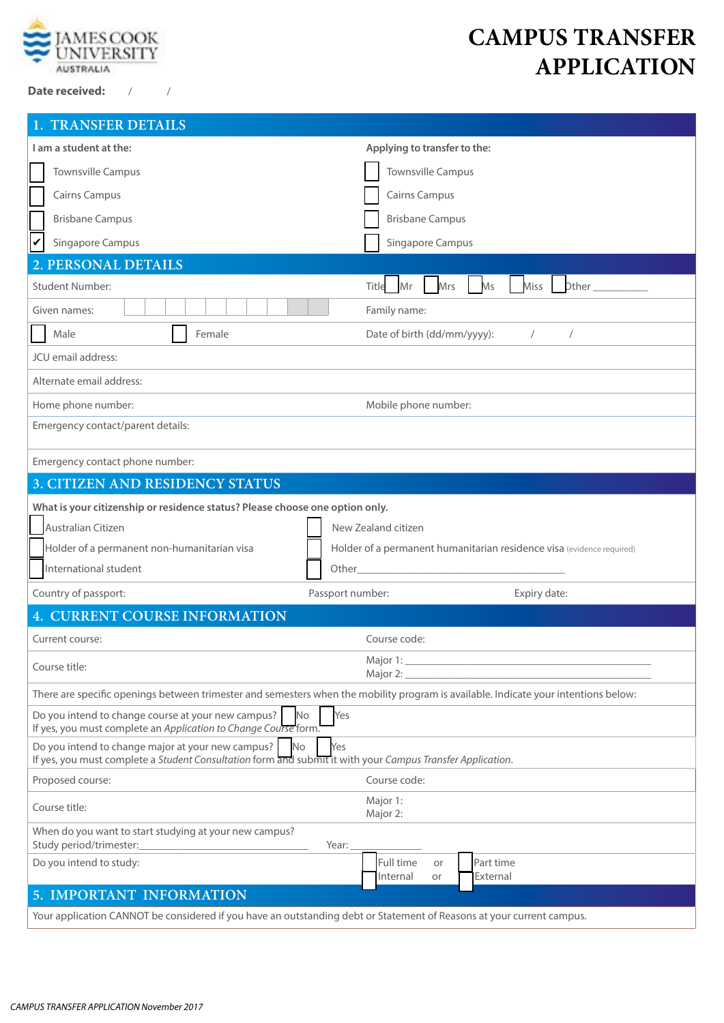

**Date received:** / /

# **CAMPUS TRANSFER APPLICATION**

| <b>1. TRANSFER DETAILS</b>                                                                                                                                                          |                                                                       |  |
|-------------------------------------------------------------------------------------------------------------------------------------------------------------------------------------|-----------------------------------------------------------------------|--|
| I am a student at the:                                                                                                                                                              | Applying to transfer to the:                                          |  |
| <b>Townsville Campus</b>                                                                                                                                                            | <b>Townsville Campus</b>                                              |  |
| <b>Cairns Campus</b>                                                                                                                                                                | <b>Cairns Campus</b>                                                  |  |
| <b>Brisbane Campus</b>                                                                                                                                                              | <b>Brisbane Campus</b>                                                |  |
| lV<br>Singapore Campus                                                                                                                                                              | Singapore Campus                                                      |  |
| 2. PERSONAL DETAILS                                                                                                                                                                 |                                                                       |  |
| <b>Student Number:</b>                                                                                                                                                              | Mr<br><b>Other</b><br>Mrs<br>Ms<br><b>Miss</b><br>Title               |  |
| Given names:                                                                                                                                                                        | Family name:                                                          |  |
| Female<br>Male                                                                                                                                                                      | Date of birth (dd/mm/yyyy):<br>$\sqrt{2}$<br>$\sqrt{2}$               |  |
| JCU email address:                                                                                                                                                                  |                                                                       |  |
| Alternate email address:                                                                                                                                                            |                                                                       |  |
| Home phone number:                                                                                                                                                                  | Mobile phone number:                                                  |  |
| Emergency contact/parent details:                                                                                                                                                   |                                                                       |  |
| Emergency contact phone number:                                                                                                                                                     |                                                                       |  |
| 3. CITIZEN AND RESIDENCY STATUS                                                                                                                                                     |                                                                       |  |
| What is your citizenship or residence status? Please choose one option only.                                                                                                        |                                                                       |  |
| Australian Citizen                                                                                                                                                                  | New Zealand citizen                                                   |  |
| Holder of a permanent non-humanitarian visa                                                                                                                                         | Holder of a permanent humanitarian residence visa (evidence required) |  |
| International student                                                                                                                                                               | Other                                                                 |  |
| Country of passport:                                                                                                                                                                | Passport number:<br>Expiry date:                                      |  |
| 4. CURRENT COURSE INFORMATION                                                                                                                                                       |                                                                       |  |
| Current course:                                                                                                                                                                     |                                                                       |  |
|                                                                                                                                                                                     | Course code:                                                          |  |
| Course title:                                                                                                                                                                       | Major 2:                                                              |  |
| There are specific openings between trimester and semesters when the mobility program is available. Indicate your intentions below:                                                 |                                                                       |  |
| Do you intend to change course at your new campus?<br>No<br>If yes, you must complete an Application to Change Course form.                                                         | Yes                                                                   |  |
| Do you intend to change major at your new campus?<br><b>No</b><br>Yes<br>If yes, you must complete a Student Consultation form and submit it with your Campus Transfer Application. |                                                                       |  |
| Proposed course:                                                                                                                                                                    | Course code:                                                          |  |
| Course title:                                                                                                                                                                       | Major 1:<br>Major 2:                                                  |  |
| When do you want to start studying at your new campus?<br>Study period/trimester:<br>Year:                                                                                          |                                                                       |  |
| Do you intend to study:                                                                                                                                                             | Full time<br>Part time<br>or<br>External<br>Internal<br>or            |  |
| <b>5. IMPORTANT INFORMATION</b>                                                                                                                                                     |                                                                       |  |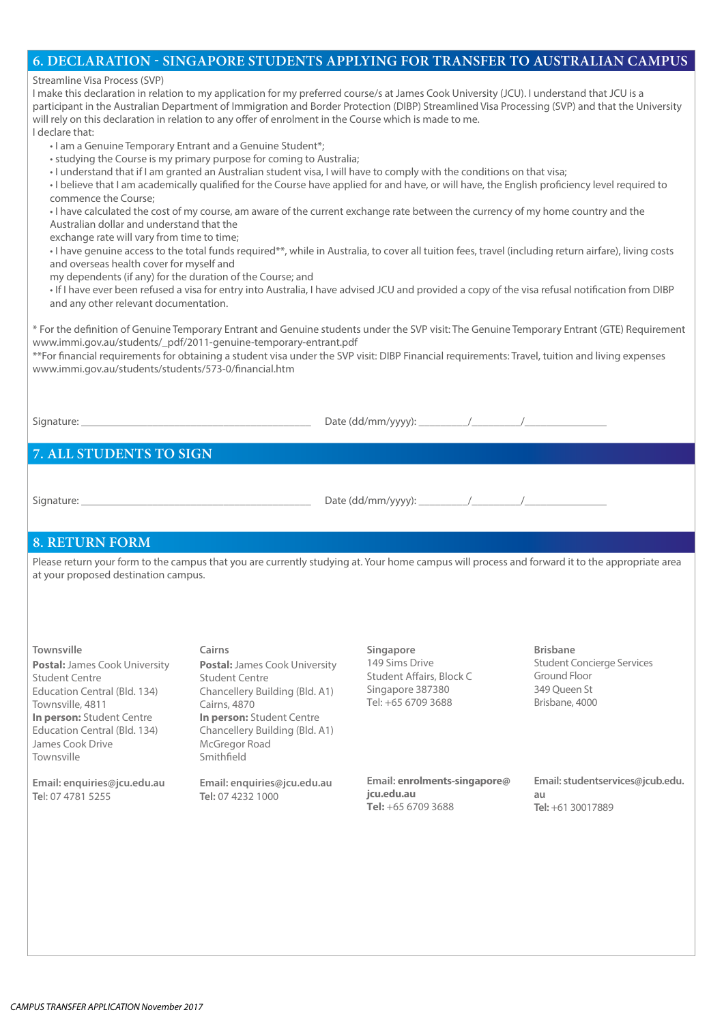#### **6. DECLARATION - SINGAPORE STUDENTS APPLYING FOR TRANSFER TO AUSTRALIAN CAMPUS**

#### Streamline Visa Process (SVP)

I make this declaration in relation to my application for my preferred course/s at James Cook University (JCU). I understand that JCU is a participant in the Australian Department of Immigration and Border Protection (DIBP) Streamlined Visa Processing (SVP) and that the University will rely on this declaration in relation to any offer of enrolment in the Course which is made to me. I declare that:

• I am a Genuine Temporary Entrant and a Genuine Student\*;

- studying the Course is my primary purpose for coming to Australia;
- I understand that if I am granted an Australian student visa, I will have to comply with the conditions on that visa;
- I believe that I am academically qualified for the Course have applied for and have, or will have, the English proficiency level required to commence the Course;

• I have calculated the cost of my course, am aware of the current exchange rate between the currency of my home country and the Australian dollar and understand that the

exchange rate will vary from time to time;

• I have genuine access to the total funds required\*\*, while in Australia, to cover all tuition fees, travel (including return airfare), living costs and overseas health cover for myself and

my dependents (if any) for the duration of the Course; and

• If I have ever been refused a visa for entry into Australia, I have advised JCU and provided a copy of the visa refusal notification from DIBP and any other relevant documentation.

\* For the definition of Genuine Temporary Entrant and Genuine students under the SVP visit: The Genuine Temporary Entrant (GTE) Requirement www.immi.gov.au/students/\_pdf/2011-genuine-temporary-entrant.pdf

\*\*For financial requirements for obtaining a student visa under the SVP visit: DIBP Financial requirements: Travel, tuition and living expenses www.immi.gov.au/students/students/573-0/financial.htm

Signature: \_\_\_\_\_\_\_\_\_\_\_\_\_\_\_\_\_\_\_\_\_\_\_\_\_\_\_\_\_\_\_\_\_\_\_\_\_\_\_\_\_\_ Date (dd/mm/yyyy): \_\_\_\_\_\_\_\_\_/\_\_\_\_\_\_\_\_\_/\_\_\_\_\_\_\_\_\_\_\_\_\_\_\_

## **7. ALL STUDENTS TO SIGN**

Signature: \_\_\_\_\_\_\_\_\_\_\_\_\_\_\_\_\_\_\_\_\_\_\_\_\_\_\_\_\_\_\_\_\_\_\_\_\_\_\_\_\_\_ Date (dd/mm/yyyy): \_\_\_\_\_\_\_\_\_/\_\_\_\_\_\_\_\_\_/\_\_\_\_\_\_\_\_\_\_\_\_\_\_\_

### **8. RETURN FORM**

Please return your form to the campus that you are currently studying at. Your home campus will process and forward it to the appropriate area at your proposed destination campus.

**Postal:** James Cook University Student Centre Education Central (Bld. 134) Townsville, 4811 **In person:** Student Centre Education Central (Bld. 134) James Cook Drive Townsville

**Email: enquiries@jcu.edu.au Te**l: 07 4781 5255

**Postal:** James Cook University Student Centre Chancellery Building (Bld. A1) Cairns, 4870 **In person:** Student Centre Chancellery Building (Bld. A1) McGregor Road Smithfield

**Email: enquiries@jcu.edu.au Tel:** 07 4232 1000

**Townsville Cairns Brisbane Singapore** 149 Sims Drive Student Affairs, Block C Singapore 387380 Tel: +65 6709 3688

> **Email: enrolments-singapore@ jcu.edu.au Tel:** +65 6709 3688

Student Concierge Services Ground Floor 349 Queen St Brisbane, 4000

**Email: studentservices@jcub.edu. au Tel:** +61 30017889